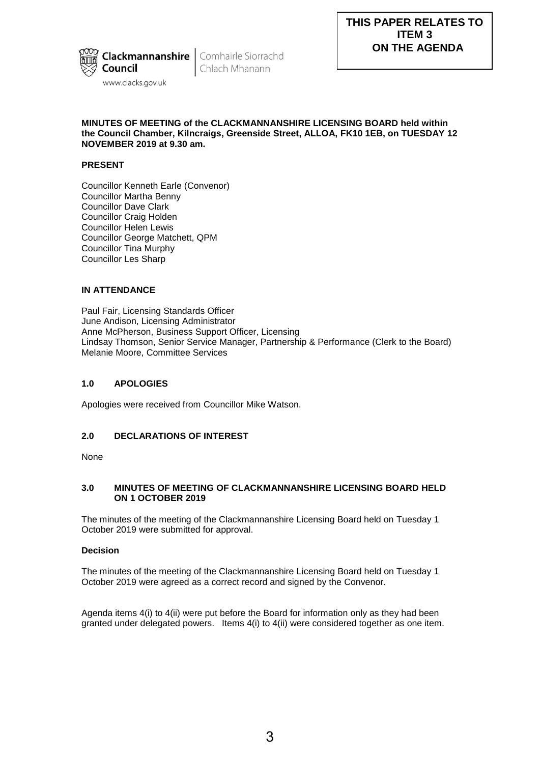

Chlach Mhanann

# **MINUTES OF MEETING of the CLACKMANNANSHIRE LICENSING BOARD held within the Council Chamber, Kilncraigs, Greenside Street, ALLOA, FK10 1EB, on TUESDAY 12 NOVEMBER 2019 at 9.30 am.**

# **PRESENT**

Councillor Kenneth Earle (Convenor) Councillor Martha Benny Councillor Dave Clark Councillor Craig Holden Councillor Helen Lewis Councillor George Matchett, QPM Councillor Tina Murphy Councillor Les Sharp

# **IN ATTENDANCE**

Paul Fair, Licensing Standards Officer June Andison, Licensing Administrator Anne McPherson, Business Support Officer, Licensing Lindsay Thomson, Senior Service Manager, Partnership & Performance (Clerk to the Board) Melanie Moore, Committee Services

# **1.0 APOLOGIES**

Apologies were received from Councillor Mike Watson.

# **2.0 DECLARATIONS OF INTEREST**

None

### **3.0 MINUTES OF MEETING OF CLACKMANNANSHIRE LICENSING BOARD HELD ON 1 OCTOBER 2019**

The minutes of the meeting of the Clackmannanshire Licensing Board held on Tuesday 1 October 2019 were submitted for approval.

# **Decision**

The minutes of the meeting of the Clackmannanshire Licensing Board held on Tuesday 1 October 2019 were agreed as a correct record and signed by the Convenor.

Agenda items 4(i) to 4(ii) were put before the Board for information only as they had been granted under delegated powers. Items 4(i) to 4(ii) were considered together as one item.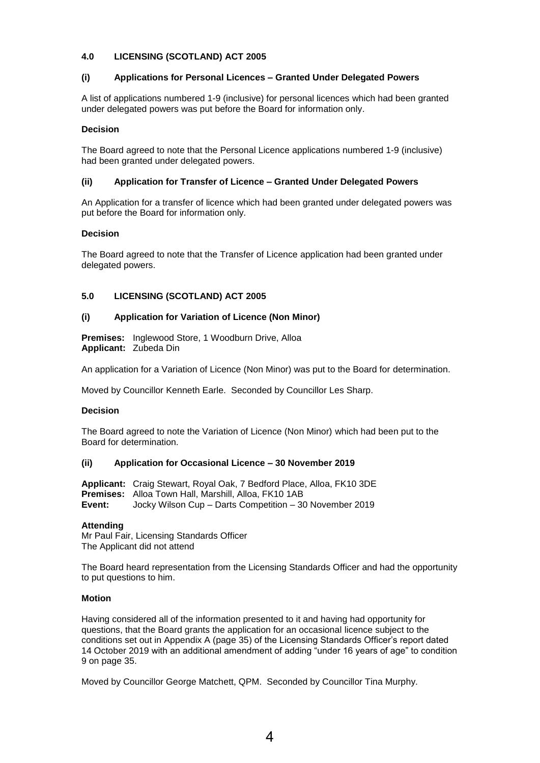# **4.0 LICENSING (SCOTLAND) ACT 2005**

# **(i) Applications for Personal Licences – Granted Under Delegated Powers**

A list of applications numbered 1-9 (inclusive) for personal licences which had been granted under delegated powers was put before the Board for information only.

# **Decision**

The Board agreed to note that the Personal Licence applications numbered 1-9 (inclusive) had been granted under delegated powers.

# **(ii) Application for Transfer of Licence – Granted Under Delegated Powers**

An Application for a transfer of licence which had been granted under delegated powers was put before the Board for information only.

### **Decision**

The Board agreed to note that the Transfer of Licence application had been granted under delegated powers.

# **5.0 LICENSING (SCOTLAND) ACT 2005**

### **(i) Application for Variation of Licence (Non Minor)**

**Premises:** Inglewood Store, 1 Woodburn Drive, Alloa **Applicant:** Zubeda Din

An application for a Variation of Licence (Non Minor) was put to the Board for determination.

Moved by Councillor Kenneth Earle. Seconded by Councillor Les Sharp.

#### **Decision**

The Board agreed to note the Variation of Licence (Non Minor) which had been put to the Board for determination.

#### **(ii) Application for Occasional Licence – 30 November 2019**

**Applicant:** Craig Stewart, Royal Oak, 7 Bedford Place, Alloa, FK10 3DE **Premises:** Alloa Town Hall, Marshill, Alloa, FK10 1AB **Event:** Jocky Wilson Cup – Darts Competition – 30 November 2019

#### **Attending**

Mr Paul Fair, Licensing Standards Officer The Applicant did not attend

The Board heard representation from the Licensing Standards Officer and had the opportunity to put questions to him.

#### **Motion**

Having considered all of the information presented to it and having had opportunity for questions, that the Board grants the application for an occasional licence subject to the conditions set out in Appendix A (page 35) of the Licensing Standards Officer's report dated 14 October 2019 with an additional amendment of adding "under 16 years of age" to condition 9 on page 35.

Moved by Councillor George Matchett, QPM. Seconded by Councillor Tina Murphy.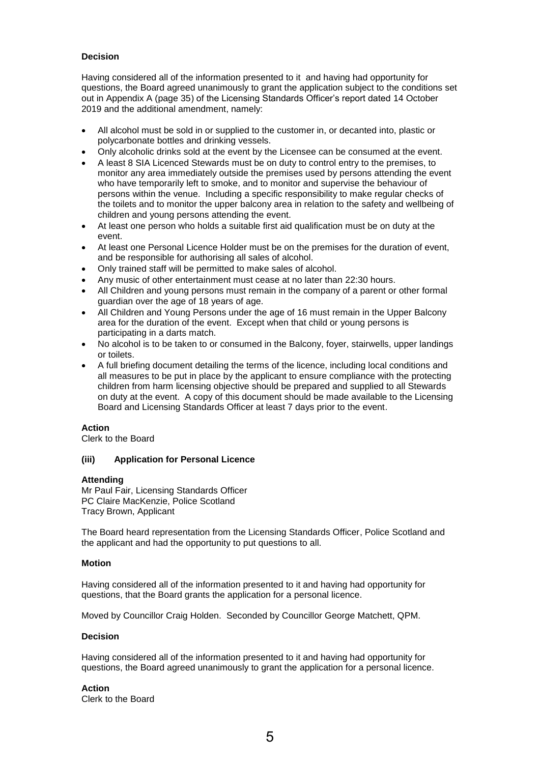# **Decision**

Having considered all of the information presented to it and having had opportunity for questions, the Board agreed unanimously to grant the application subject to the conditions set out in Appendix A (page 35) of the Licensing Standards Officer's report dated 14 October 2019 and the additional amendment, namely:

- All alcohol must be sold in or supplied to the customer in, or decanted into, plastic or polycarbonate bottles and drinking vessels.
- Only alcoholic drinks sold at the event by the Licensee can be consumed at the event.
- A least 8 SIA Licenced Stewards must be on duty to control entry to the premises, to monitor any area immediately outside the premises used by persons attending the event who have temporarily left to smoke, and to monitor and supervise the behaviour of persons within the venue. Including a specific responsibility to make regular checks of the toilets and to monitor the upper balcony area in relation to the safety and wellbeing of children and young persons attending the event.
- At least one person who holds a suitable first aid qualification must be on duty at the event.
- At least one Personal Licence Holder must be on the premises for the duration of event, and be responsible for authorising all sales of alcohol.
- Only trained staff will be permitted to make sales of alcohol.
- Any music of other entertainment must cease at no later than 22:30 hours.
- All Children and young persons must remain in the company of a parent or other formal guardian over the age of 18 years of age.
- All Children and Young Persons under the age of 16 must remain in the Upper Balcony area for the duration of the event. Except when that child or young persons is participating in a darts match.
- No alcohol is to be taken to or consumed in the Balcony, foyer, stairwells, upper landings or toilets.
- A full briefing document detailing the terms of the licence, including local conditions and all measures to be put in place by the applicant to ensure compliance with the protecting children from harm licensing objective should be prepared and supplied to all Stewards on duty at the event. A copy of this document should be made available to the Licensing Board and Licensing Standards Officer at least 7 days prior to the event.

#### **Action**

Clerk to the Board

#### **(iii) Application for Personal Licence**

#### **Attending**

Mr Paul Fair, Licensing Standards Officer PC Claire MacKenzie, Police Scotland Tracy Brown, Applicant

The Board heard representation from the Licensing Standards Officer, Police Scotland and the applicant and had the opportunity to put questions to all.

#### **Motion**

Having considered all of the information presented to it and having had opportunity for questions, that the Board grants the application for a personal licence.

Moved by Councillor Craig Holden. Seconded by Councillor George Matchett, QPM.

#### **Decision**

Having considered all of the information presented to it and having had opportunity for questions, the Board agreed unanimously to grant the application for a personal licence.

#### **Action**

Clerk to the Board